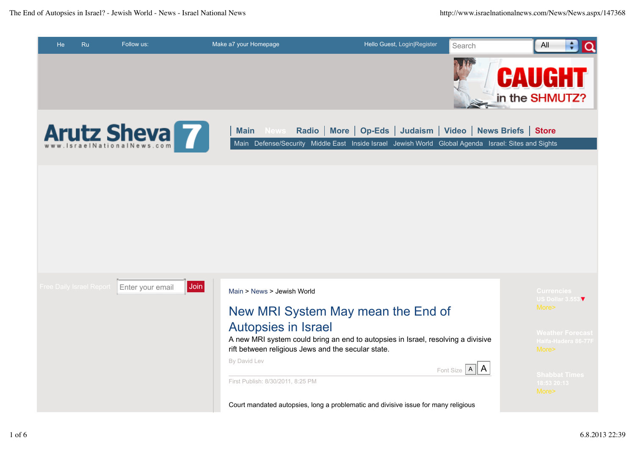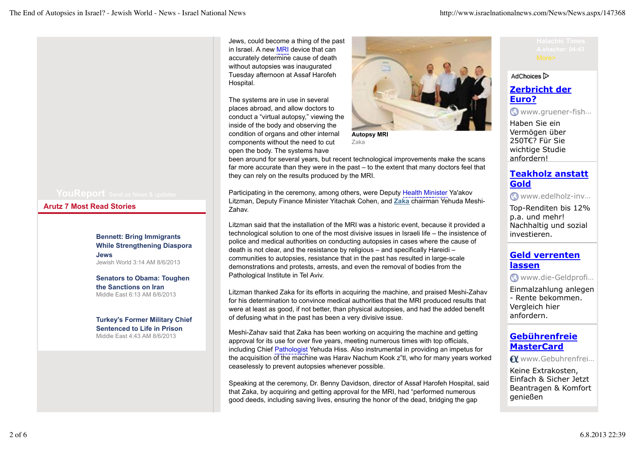**Arutz 7 Most Read Stories**

**Bennett: Bring Immigrants While Strengthening Diaspora Jews** Jewish World 3:14 AM 8/6/2013

**Senators to Obama: Toughen the Sanctions on Iran** Middle East 6:13 AM 8/6/2013

**Turkey's Former Military Chief Sentenced to Life in Prison** Middle East 4:43 AM 8/6/2013

Jews, could become a thing of the past in Israel. A new MRI device that can accurately determine cause of death without autopsies was inaugurated Tuesday afternoon at Assaf Harofeh Hospital.

The systems are in use in several places abroad, and allow doctors to conduct a "virtual autopsy," viewing the inside of the body and observing the condition of organs and other internal components without the need to cut open the body. The systems have



**Autopsy MRI** Zaka

been around for several years, but recent technological improvements make the scans far more accurate than they were in the past – to the extent that many doctors feel that they can rely on the results produced by the MRI.

Participating in the ceremony, among others, were Deputy Health Minister Ya'akov Litzman, Deputy Finance Minister Yitachak Cohen, and **Zaka** chairman Yehuda Meshi-Zahav.

Litzman said that the installation of the MRI was a historic event, because it provided a technological solution to one of the most divisive issues in Israeli life – the insistence of police and medical authorities on conducting autopsies in cases where the cause of death is not clear, and the resistance by religious – and specifically Hareidi – communities to autopsies, resistance that in the past has resulted in large-scale demonstrations and protests, arrests, and even the removal of bodies from the Pathological Institute in Tel Aviv.

Litzman thanked Zaka for its efforts in acquiring the machine, and praised Meshi-Zahav for his determination to convince medical authorities that the MRI produced results that were at least as good, if not better, than physical autopsies, and had the added benefit of defusing what in the past has been a very divisive issue.

Meshi-Zahav said that Zaka has been working on acquiring the machine and getting approval for its use for over five years, meeting numerous times with top officials, including Chief Pathologist Yehuda Hiss. Also instrumental in providing an impetus for the acquisition of the machine was Harav Nachum Kook z"tl, who for many years worked ceaselessly to prevent autopsies whenever possible.

Speaking at the ceremony, Dr. Benny Davidson, director of Assaf Harofeh Hospital, said that Zaka, by acquiring and getting approval for the MRI, had "performed numerous good deeds, including saving lives, ensuring the honor of the dead, bridging the gap

#### AdChoices<sup>1</sup>

## **Zerbricht der Euro?**

www.gruener-fish …

Haben Sie ein Vermögen über 250T€? Für Sie wichtige Studie anfordern!

### **Teakholz anstatt Gold**

www.edelholz-inv …

Top-Renditen bis 12% p.a. und mehr! Nachhaltig und sozial investieren.

### **Geld verrenten lassen**

www.die-Geldprofi …

Einmalzahlung anlegen - Rente bekommen. Vergleich hier anfordern.

### **Gebührenfreie MasterCard**

www.Gebuhrenfrei …

Keine Extrakosten, Einfach & Sicher Jetzt Beantragen & Komfort genießen